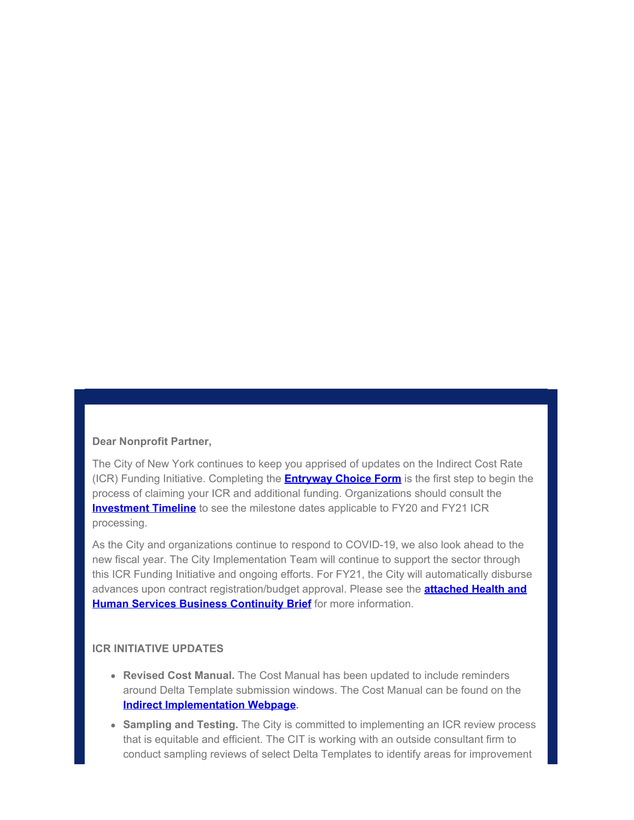#### **Dear Nonprofit Partner,**

The City of New York continues to keep you apprised of updates on the Indirect Cost Rate (ICR) Funding Initiative. Completing the **[Entryway Choice Form](https://gcc01.safelinks.protection.outlook.com/?url=https%3A%2F%2Fwww1.nyc.gov%2Fsite%2Fnonprofits%2Ffunded-providers%2Findirect-entryway-choice-form.page%3Futm_medium%3Demail%26utm_source%3Dgovdelivery&data=02%7C01%7Coluwa.small%40mocs.nyc.gov%7Cb70f0129124049f0308d08d807471b2c%7C32f56fc75f814e22a95b15da66513bef%7C0%7C0%7C637267350594284246&sdata=fDQCyqyMPs81xoI6pbwCs5Zrtzybd8dwJHCrqWi23Wo%3D&reserved=0)** is the first step to begin the process of claiming your ICR and additional funding. Organizations should consult the **[Investment Timeline](https://gcc01.safelinks.protection.outlook.com/?url=https%3A%2F%2Fwww1.nyc.gov%2Fassets%2Fnonprofits%2Fdownloads%2Fpdf%2FInvestment%2520Timeline.pdf%3Futm_medium%3Demail%26utm_source%3Dgovdelivery&data=02%7C01%7Coluwa.small%40mocs.nyc.gov%7Cb70f0129124049f0308d08d807471b2c%7C32f56fc75f814e22a95b15da66513bef%7C0%7C0%7C637267350594284246&sdata=BDFG0ppMZes93FCX75kZwlign1h7x6JbqIaj7a2U5Hc%3D&reserved=0)** to see the milestone dates applicable to FY20 and FY21 ICR processing.

As the City and organizations continue to respond to COVID-19, we also look ahead to the new fiscal year. The City Implementation Team will continue to support the sector through this ICR Funding Initiative and ongoing efforts. For FY21, the City will automatically disburse advances upon contract registration/budget approval. Please see the **[attached Health and](https://gcc01.safelinks.protection.outlook.com/?url=https%3A%2F%2Fcontent.govdelivery.com%2Fattachments%2FNYCMOCS%2F2020%2F06%2F02%2Ffile_attachments%2F1464420%2FHumanService_BusinessContinuity.pdf&data=02%7C01%7Coluwa.small%40mocs.nyc.gov%7Cb70f0129124049f0308d08d807471b2c%7C32f56fc75f814e22a95b15da66513bef%7C0%7C0%7C637267350594284246&sdata=8D6eWMPXsP%2BxYrZI%2F4T4HSv59Cr4GDU%2BWPazCHG9yUE%3D&reserved=0) [Human Services Business Continuity Brief](https://gcc01.safelinks.protection.outlook.com/?url=https%3A%2F%2Fcontent.govdelivery.com%2Fattachments%2FNYCMOCS%2F2020%2F06%2F02%2Ffile_attachments%2F1464420%2FHumanService_BusinessContinuity.pdf&data=02%7C01%7Coluwa.small%40mocs.nyc.gov%7Cb70f0129124049f0308d08d807471b2c%7C32f56fc75f814e22a95b15da66513bef%7C0%7C0%7C637267350594284246&sdata=8D6eWMPXsP%2BxYrZI%2F4T4HSv59Cr4GDU%2BWPazCHG9yUE%3D&reserved=0)** for more information.

#### **ICR INITIATIVE UPDATES**

- **Revised Cost Manual.** The Cost Manual has been updated to include reminders around Delta Template submission windows. The Cost Manual can be found on the **[Indirect Implementation Webpage.](https://gcc01.safelinks.protection.outlook.com/?url=https%3A%2F%2Fwww1.nyc.gov%2Fsite%2Fnonprofits%2Ffunded-providers%2Findirect-implementation.page%3Futm_medium%3Demail%26utm_source%3Dgovdelivery&data=02%7C01%7Coluwa.small%40mocs.nyc.gov%7Cb70f0129124049f0308d08d807471b2c%7C32f56fc75f814e22a95b15da66513bef%7C0%7C0%7C637267350594294202&sdata=gJzOr3EwW3vhesPWXFPmsYGCRBrgzcj7oN0%2Fs4Oyj1o%3D&reserved=0)**
- **Sampling and Testing.** The City is committed to implementing an ICR review process that is equitable and efficient. The CIT is working with an outside consultant firm to conduct sampling reviews of select Delta Templates to identify areas for improvement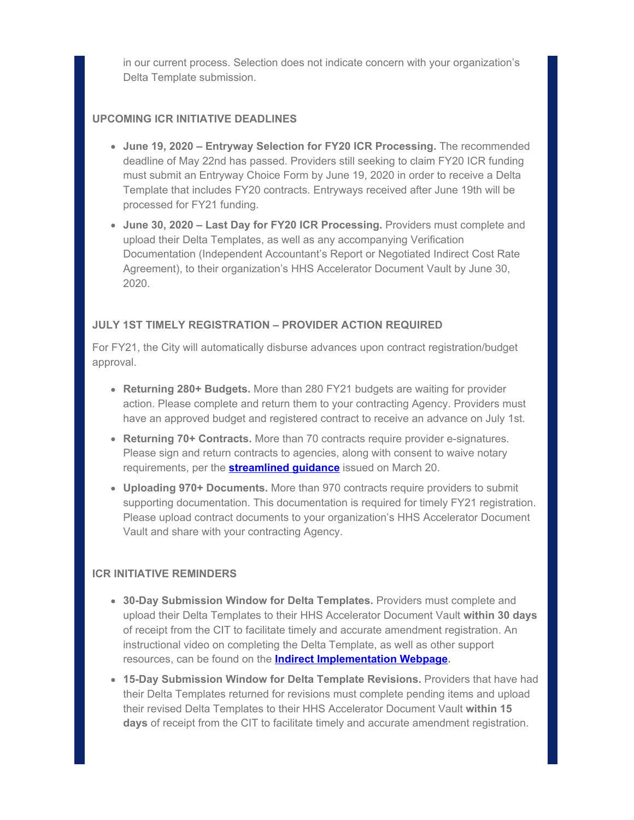in our current process. Selection does not indicate concern with your organization's Delta Template submission.

## **UPCOMING ICR INITIATIVE DEADLINES**

- **June 19, 2020 Entryway Selection for FY20 ICR Processing.** The recommended deadline of May 22nd has passed. Providers still seeking to claim FY20 ICR funding must submit an Entryway Choice Form by June 19, 2020 in order to receive a Delta Template that includes FY20 contracts. Entryways received after June 19th will be processed for FY21 funding.
- **June 30, 2020 Last Day for FY20 ICR Processing.** Providers must complete and upload their Delta Templates, as well as any accompanying Verification Documentation (Independent Accountant's Report or Negotiated Indirect Cost Rate Agreement), to their organization's HHS Accelerator Document Vault by June 30, 2020.

## **JULY 1ST TIMELY REGISTRATION – PROVIDER ACTION REQUIRED**

For FY21, the City will automatically disburse advances upon contract registration/budget approval.

- **Returning 280+ Budgets.** More than 280 FY21 budgets are waiting for provider action. Please complete and return them to your contracting Agency. Providers must have an approved budget and registered contract to receive an advance on July 1st.
- **Returning 70+ Contracts.** More than 70 contracts require provider e-signatures. Please sign and return contracts to agencies, along with consent to waive notary requirements, per the **[streamlined guidance](https://gcc01.safelinks.protection.outlook.com/?url=https%3A%2F%2Fwww1.nyc.gov%2Fassets%2Fdoh%2Fdownloads%2Fpdf%2Fimm%2Fcovid-letter-to-human-service-providers.pdf%3Futm_medium%3Demail%26utm_source%3Dgovdelivery&data=02%7C01%7Coluwa.small%40mocs.nyc.gov%7Cb70f0129124049f0308d08d807471b2c%7C32f56fc75f814e22a95b15da66513bef%7C0%7C0%7C637267350594294202&sdata=S3iCy7eXbyp0JvnHHoDxW0GgEcEGthPeGKMc%2FwcRSK8%3D&reserved=0)** issued on March 20.
- **Uploading 970+ Documents.** More than 970 contracts require providers to submit supporting documentation. This documentation is required for timely FY21 registration. Please upload contract documents to your organization's HHS Accelerator Document Vault and share with your contracting Agency.

## **ICR INITIATIVE REMINDERS**

- **30-Day Submission Window for Delta Templates.** Providers must complete and upload their Delta Templates to their HHS Accelerator Document Vault **within 30 days** of receipt from the CIT to facilitate timely and accurate amendment registration. An instructional video on completing the Delta Template, as well as other support resources, can be found on the **[Indirect Implementation Webpage](https://gcc01.safelinks.protection.outlook.com/?url=https%3A%2F%2Fwww1.nyc.gov%2Fsite%2Fnonprofits%2Ffunded-providers%2Findirect-implementation.page%3Futm_medium%3Demail%26utm_source%3Dgovdelivery&data=02%7C01%7Coluwa.small%40mocs.nyc.gov%7Cb70f0129124049f0308d08d807471b2c%7C32f56fc75f814e22a95b15da66513bef%7C0%7C0%7C637267350594304162&sdata=js5Z2OlYWLYgRN6NdMHJsj%2BoVj%2BKSwyQ0lbREYxR5MA%3D&reserved=0).**
- **15-Day Submission Window for Delta Template Revisions.** Providers that have had their Delta Templates returned for revisions must complete pending items and upload their revised Delta Templates to their HHS Accelerator Document Vault **within 15 days** of receipt from the CIT to facilitate timely and accurate amendment registration.